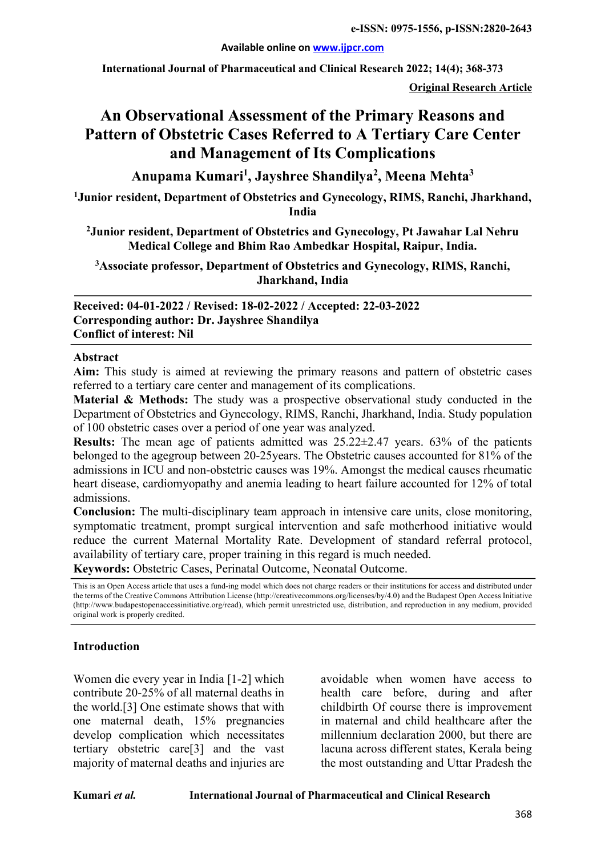**Available online on www.ijpcr.com**

**International Journal of Pharmaceutical and Clinical Research 2022; 14(4); 368-373**

**Original Research Article**

# **An Observational Assessment of the Primary Reasons and Pattern of Obstetric Cases Referred to A Tertiary Care Center and Management of Its Complications**

**Anupama Kumari1 , Jayshree Shandilya2 , Meena Mehta3**

**1 Junior resident, Department of Obstetrics and Gynecology, RIMS, Ranchi, Jharkhand, India**

**2 Junior resident, Department of Obstetrics and Gynecology, Pt Jawahar Lal Nehru Medical College and Bhim Rao Ambedkar Hospital, Raipur, India.**

**3 Associate professor, Department of Obstetrics and Gynecology, RIMS, Ranchi, Jharkhand, India**

**Received: 04-01-2022 / Revised: 18-02-2022 / Accepted: 22-03-2022 Corresponding author: Dr. Jayshree Shandilya Conflict of interest: Nil**

#### **Abstract**

**Aim:** This study is aimed at reviewing the primary reasons and pattern of obstetric cases referred to a tertiary care center and management of its complications.

**Material & Methods:** The study was a prospective observational study conducted in the Department of Obstetrics and Gynecology, RIMS, Ranchi, Jharkhand, India. Study population of 100 obstetric cases over a period of one year was analyzed.

**Results:** The mean age of patients admitted was 25.22±2.47 years. 63% of the patients belonged to the agegroup between 20-25years. The Obstetric causes accounted for 81% of the admissions in ICU and non-obstetric causes was 19%. Amongst the medical causes rheumatic heart disease, cardiomyopathy and anemia leading to heart failure accounted for 12% of total admissions.

**Conclusion:** The multi-disciplinary team approach in intensive care units, close monitoring, symptomatic treatment, prompt surgical intervention and safe motherhood initiative would reduce the current Maternal Mortality Rate. Development of standard referral protocol, availability of tertiary care, proper training in this regard is much needed. **Keywords:** Obstetric Cases, Perinatal Outcome, Neonatal Outcome.

This is an Open Access article that uses a fund-ing model which does not charge readers or their institutions for access and distributed under the terms of the Creative Commons Attribution License (http://creativecommons.org/licenses/by/4.0) and the Budapest Open Access Initiative (http://www.budapestopenaccessinitiative.org/read), which permit unrestricted use, distribution, and reproduction in any medium, provided original work is properly credited.

### **Introduction**

Women die every year in India [1-2] which contribute 20-25% of all maternal deaths in the world.[3] One estimate shows that with one maternal death, 15% pregnancies develop complication which necessitates tertiary obstetric care[3] and the vast majority of maternal deaths and injuries are

avoidable when women have access to health care before, during and after childbirth Of course there is improvement in maternal and child healthcare after the millennium declaration 2000, but there are lacuna across different states, Kerala being the most outstanding and Uttar Pradesh the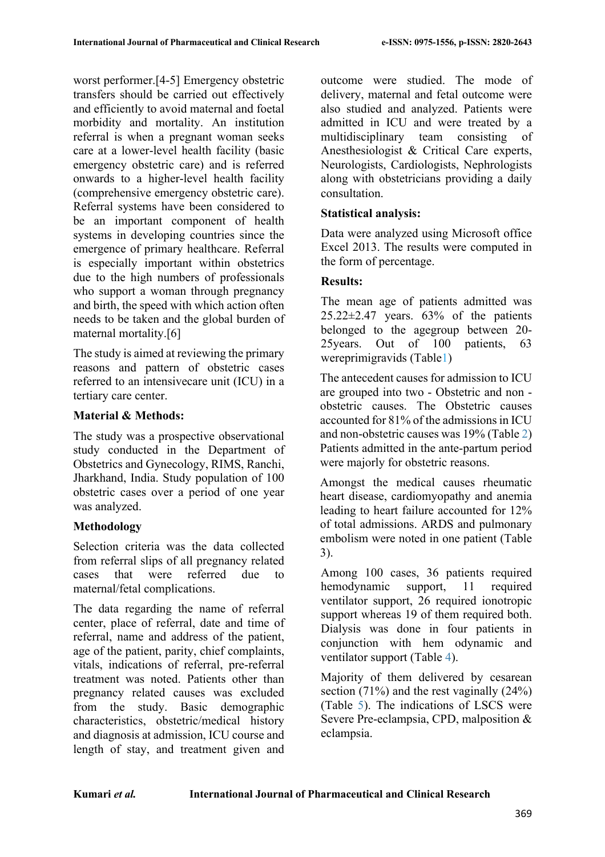worst performer.[4-5] Emergency obstetric transfers should be carried out effectively and efficiently to avoid maternal and foetal morbidity and mortality. An institution referral is when a pregnant woman seeks care at a lower-level health facility (basic emergency obstetric care) and is referred onwards to a higher-level health facility (comprehensive emergency obstetric care). Referral systems have been considered to be an important component of health systems in developing countries since the emergence of primary healthcare. Referral is especially important within obstetrics due to the high numbers of professionals who support a woman through pregnancy and birth, the speed with which action often needs to be taken and the global burden of maternal mortality.[6]

The study is aimed at reviewing the primary reasons and pattern of obstetric cases referred to an intensivecare unit (ICU) in a tertiary care center.

### **Material & Methods:**

The study was a prospective observational study conducted in the Department of Obstetrics and Gynecology, RIMS, Ranchi, Jharkhand, India. Study population of 100 obstetric cases over a period of one year was analyzed.

### **Methodology**

Selection criteria was the data collected from referral slips of all pregnancy related cases that were referred due to maternal/fetal complications.

The data regarding the name of referral center, place of referral, date and time of referral, name and address of the patient, age of the patient, parity, chief complaints, vitals, indications of referral, pre-referral treatment was noted. Patients other than pregnancy related causes was excluded from the study. Basic demographic characteristics, obstetric/medical history and diagnosis at admission, ICU course and length of stay, and treatment given and

outcome were studied. The mode of delivery, maternal and fetal outcome were also studied and analyzed. Patients were admitted in ICU and were treated by a multidisciplinary team consisting of Anesthesiologist & Critical Care experts, Neurologists, Cardiologists, Nephrologists along with obstetricians providing a daily consultation.

### **Statistical analysis:**

Data were analyzed using Microsoft office Excel 2013. The results were computed in the form of percentage.

### **Results:**

The mean age of patients admitted was  $25.22 \pm 2.47$  years.  $63\%$  of the patients belonged to the agegroup between 20- 25years. Out of 100 patients, 63 wereprimigravids (Table1)

The antecedent causes for admission to ICU are grouped into two - Obstetric and non obstetric causes. The Obstetric causes accounted for 81% of the admissions in ICU and non-obstetric causes was 19% (Table 2) Patients admitted in the ante-partum period were majorly for obstetric reasons.

Amongst the medical causes rheumatic heart disease, cardiomyopathy and anemia leading to heart failure accounted for 12% of total admissions. ARDS and pulmonary embolism were noted in one patient (Table 3).

Among 100 cases, 36 patients required hemodynamic support, 11 required ventilator support, 26 required ionotropic support whereas 19 of them required both. Dialysis was done in four patients in conjunction with hem odynamic and ventilator support (Table 4).

Majority of them delivered by cesarean section  $(71\%)$  and the rest vaginally  $(24\%)$ (Table 5). The indications of LSCS were Severe Pre-eclampsia, CPD, malposition & eclampsia.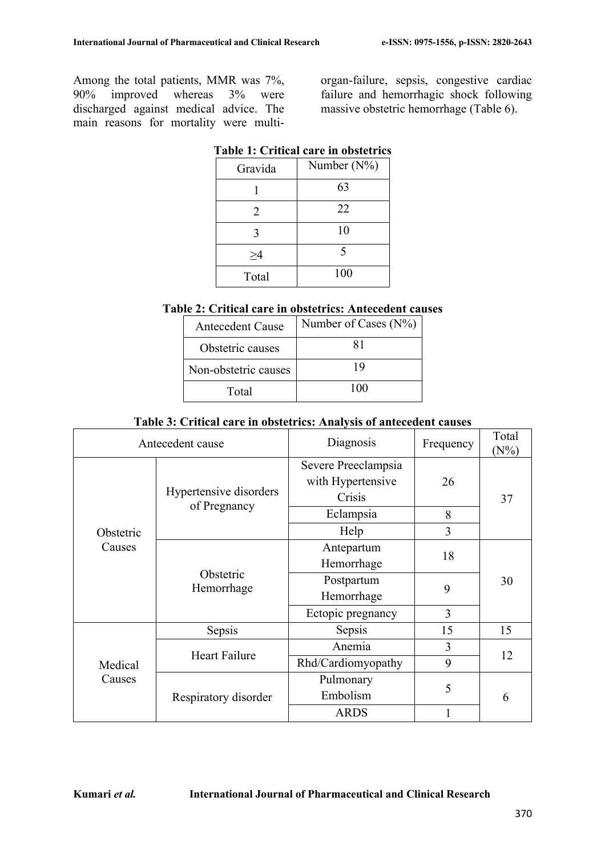Among the total patients, MMR was 7%, 90% improved whereas 3% were discharged against medical advice. The main reasons for mortality were multiorgan-failure, sepsis, congestive cardiac failure and hemorrhagic shock following massive obstetric hemorrhage (Table 6).

| Gravida | Number $(N\%)$ |  |  |
|---------|----------------|--|--|
|         | 63             |  |  |
| 2       | 22             |  |  |
| 3       | 10             |  |  |
| >4      | 5              |  |  |
| Total   | 100            |  |  |
|         |                |  |  |

# **Table 1: Critical care in obstetrics**

# **Table 2: Critical care in obstetrics: Antecedent causes**

| <b>Antecedent Cause</b> | Number of Cases (N%) |
|-------------------------|----------------------|
| Obstetric causes        | 81                   |
| Non-obstetric causes    | 19                   |
| Total                   | 100                  |

### **Table 3: Critical care in obstetrics: Analysis of antecedent causes**

| Antecedent cause                                                                         |                      | Diagnosis                                          | Frequency | Total<br>$(N\%)$ |
|------------------------------------------------------------------------------------------|----------------------|----------------------------------------------------|-----------|------------------|
| Hypertensive disorders<br>of Pregnancy<br>Obstetric<br>Causes<br>Obstetric<br>Hemorrhage |                      | Severe Preeclampsia<br>with Hypertensive<br>Crisis | 26        | 37               |
|                                                                                          |                      | Eclampsia                                          | 8         |                  |
|                                                                                          | Help                 | 3                                                  |           |                  |
|                                                                                          |                      | Antepartum<br>Hemorrhage                           | 18        |                  |
|                                                                                          |                      | Postpartum<br>Hemorrhage                           | 9         | 30               |
|                                                                                          |                      | Ectopic pregnancy                                  | 3         |                  |
| Medical<br>Causes                                                                        | Sepsis               | Sepsis                                             | 15        | 15               |
|                                                                                          | <b>Heart Failure</b> | Anemia                                             | 3         | 12               |
|                                                                                          |                      | Rhd/Cardiomyopathy                                 | 9         |                  |
|                                                                                          | Respiratory disorder | Pulmonary<br>Embolism                              | 5         | 6                |
|                                                                                          |                      | <b>ARDS</b>                                        |           |                  |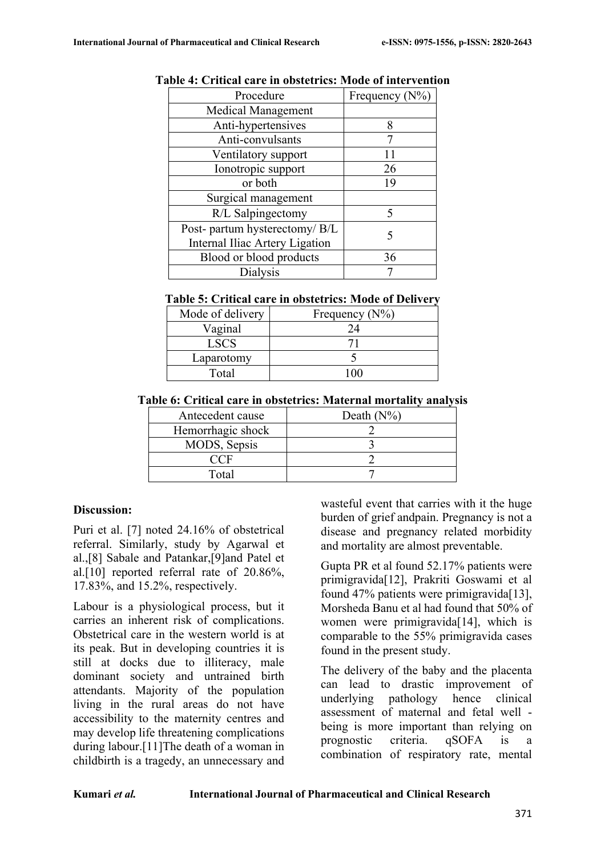| Frequency $(N\%)$              |  |
|--------------------------------|--|
|                                |  |
| 8                              |  |
|                                |  |
|                                |  |
| 26                             |  |
| 19                             |  |
|                                |  |
|                                |  |
|                                |  |
| Internal Iliac Artery Ligation |  |
| 36                             |  |
|                                |  |
|                                |  |

#### **Table 4: Critical care in obstetrics: Mode of intervention**

#### **Table 5: Critical care in obstetrics: Mode of Delivery**

| Mode of delivery | Frequency $(N\%)$ |
|------------------|-------------------|
| Vaginal          |                   |
| <b>LSCS</b>      |                   |
| Laparotomy       |                   |
| Total            |                   |

#### **Table 6: Critical care in obstetrics: Maternal mortality analysis**

| Antecedent cause  | Death $(N\%)$ |
|-------------------|---------------|
| Hemorrhagic shock |               |
| MODS, Sepsis      |               |
|                   |               |
| Total             |               |

### **Discussion:**

Puri et al. [7] noted 24.16% of obstetrical referral. Similarly, study by Agarwal et al.,[8] Sabale and Patankar,[9]and Patel et al.[10] reported referral rate of 20.86%, 17.83%, and 15.2%, respectively.

Labour is a physiological process, but it carries an inherent risk of complications. Obstetrical care in the western world is at its peak. But in developing countries it is still at docks due to illiteracy, male dominant society and untrained birth attendants. Majority of the population living in the rural areas do not have accessibility to the maternity centres and may develop life threatening complications during labour.[11]The death of a woman in childbirth is a tragedy, an unnecessary and wasteful event that carries with it the huge burden of grief andpain. Pregnancy is not a disease and pregnancy related morbidity and mortality are almost preventable.

Gupta PR et al found 52.17% patients were primigravida[12], Prakriti Goswami et al found 47% patients were primigravida<sup>[13]</sup>, Morsheda Banu et al had found that 50% of women were primigravida<sup>[14]</sup>, which is comparable to the 55% primigravida cases found in the present study.

The delivery of the baby and the placenta can lead to drastic improvement of underlying pathology hence clinical assessment of maternal and fetal well being is more important than relying on prognostic criteria. qSOFA is a combination of respiratory rate, mental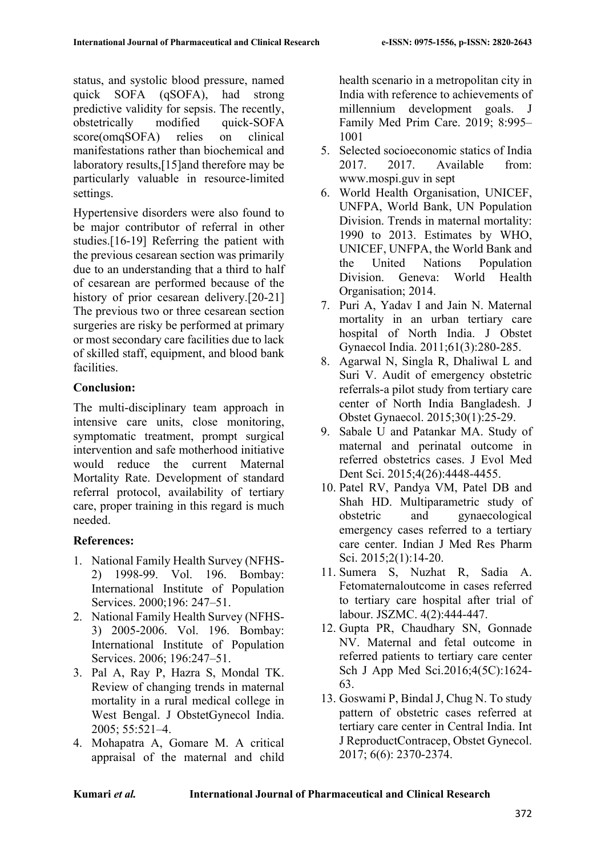status, and systolic blood pressure, named quick SOFA (qSOFA), had strong predictive validity for sepsis. The recently, obstetrically modified quick-SOFA score(omqSOFA) relies on clinical manifestations rather than biochemical and laboratory results,[15]and therefore may be particularly valuable in resource-limited settings.

Hypertensive disorders were also found to be major contributor of referral in other studies.[16-19] Referring the patient with the previous cesarean section was primarily due to an understanding that a third to half of cesarean are performed because of the history of prior cesarean delivery.[20-21] The previous two or three cesarean section surgeries are risky be performed at primary or most secondary care facilities due to lack of skilled staff, equipment, and blood bank facilities.

## **Conclusion:**

The multi-disciplinary team approach in intensive care units, close monitoring, symptomatic treatment, prompt surgical intervention and safe motherhood initiative would reduce the current Maternal Mortality Rate. Development of standard referral protocol, availability of tertiary care, proper training in this regard is much needed.

# **References:**

- 1. National Family Health Survey (NFHS-2) 1998-99. Vol. 196. Bombay: International Institute of Population Services. 2000;196: 247–51.
- 2. National Family Health Survey (NFHS-3) 2005-2006. Vol. 196. Bombay: International Institute of Population Services. 2006; 196:247–51.
- 3. Pal A, Ray P, Hazra S, Mondal TK. Review of changing trends in maternal mortality in a rural medical college in West Bengal. J ObstetGynecol India. 2005; 55:521–4.
- 4. Mohapatra A, Gomare M. A critical appraisal of the maternal and child

health scenario in a metropolitan city in India with reference to achievements of millennium development goals. J Family Med Prim Care. 2019; 8:995– 1001

- 5. Selected socioeconomic statics of India 2017. 2017. Available from: www.mospi.guv in sept
- 6. World Health Organisation, UNICEF, UNFPA, World Bank, UN Population Division. Trends in maternal mortality: 1990 to 2013. Estimates by WHO, UNICEF, UNFPA, the World Bank and the United Nations Population Division. Geneva: World Health Organisation; 2014.
- 7. Puri A, Yadav I and Jain N. Maternal mortality in an urban tertiary care hospital of North India. J Obstet Gynaecol India. 2011;61(3):280-285.
- 8. Agarwal N, Singla R, Dhaliwal L and Suri V. Audit of emergency obstetric referrals-a pilot study from tertiary care center of North India Bangladesh. J Obstet Gynaecol. 2015;30(1):25-29.
- 9. Sabale U and Patankar MA. Study of maternal and perinatal outcome in referred obstetrics cases. J Evol Med Dent Sci. 2015;4(26):4448-4455.
- 10. Patel RV, Pandya VM, Patel DB and Shah HD. Multiparametric study of obstetric and gynaecological emergency cases referred to a tertiary care center. Indian J Med Res Pharm Sci. 2015;2(1):14-20.
- 11. Sumera S, Nuzhat R, Sadia A. Fetomaternaloutcome in cases referred to tertiary care hospital after trial of labour. JSZMC. 4(2):444-447.
- 12. Gupta PR, Chaudhary SN, Gonnade NV. Maternal and fetal outcome in referred patients to tertiary care center Sch J App Med Sci.2016;4(5C):1624- 63.
- 13. Goswami P, Bindal J, Chug N. To study pattern of obstetric cases referred at tertiary care center in Central India. Int J ReproductContracep, Obstet Gynecol. 2017; 6(6): 2370-2374.